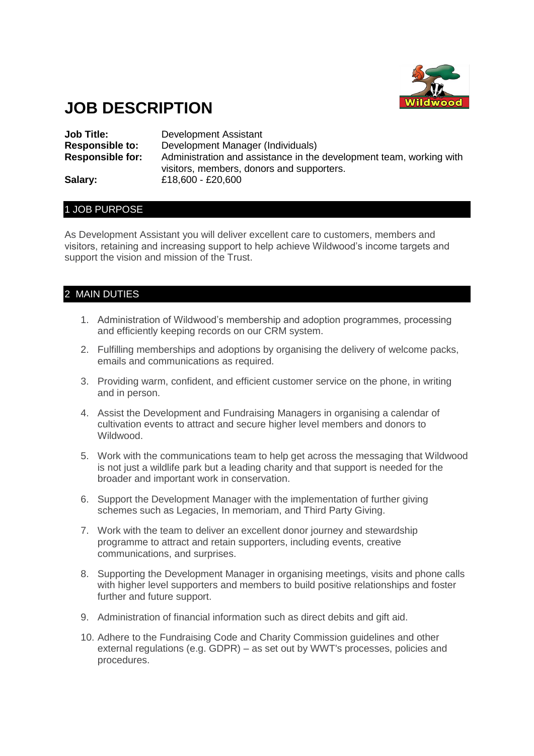

# **JOB DESCRIPTION**

| <b>Job Title:</b>       | Development Assistant                                                                                            |
|-------------------------|------------------------------------------------------------------------------------------------------------------|
| <b>Responsible to:</b>  | Development Manager (Individuals)                                                                                |
| <b>Responsible for:</b> | Administration and assistance in the development team, working with<br>visitors, members, donors and supporters. |
| Salary:                 | £18,600 - £20,600                                                                                                |

#### 1 JOB PURPOSE

As Development Assistant you will deliver excellent care to customers, members and visitors, retaining and increasing support to help achieve Wildwood's income targets and support the vision and mission of the Trust.

## 2 MAIN DUTIES

- 1. Administration of Wildwood's membership and adoption programmes, processing and efficiently keeping records on our CRM system.
- 2. Fulfilling memberships and adoptions by organising the delivery of welcome packs, emails and communications as required.
- 3. Providing warm, confident, and efficient customer service on the phone, in writing and in person.
- 4. Assist the Development and Fundraising Managers in organising a calendar of cultivation events to attract and secure higher level members and donors to Wildwood.
- 5. Work with the communications team to help get across the messaging that Wildwood is not just a wildlife park but a leading charity and that support is needed for the broader and important work in conservation.
- 6. Support the Development Manager with the implementation of further giving schemes such as Legacies, In memoriam, and Third Party Giving.
- 7. Work with the team to deliver an excellent donor journey and stewardship programme to attract and retain supporters, including events, creative communications, and surprises.
- 8. Supporting the Development Manager in organising meetings, visits and phone calls with higher level supporters and members to build positive relationships and foster further and future support.
- 9. Administration of financial information such as direct debits and gift aid.
- 10. Adhere to the Fundraising Code and Charity Commission guidelines and other external regulations (e.g. GDPR) – as set out by WWT's processes, policies and procedures.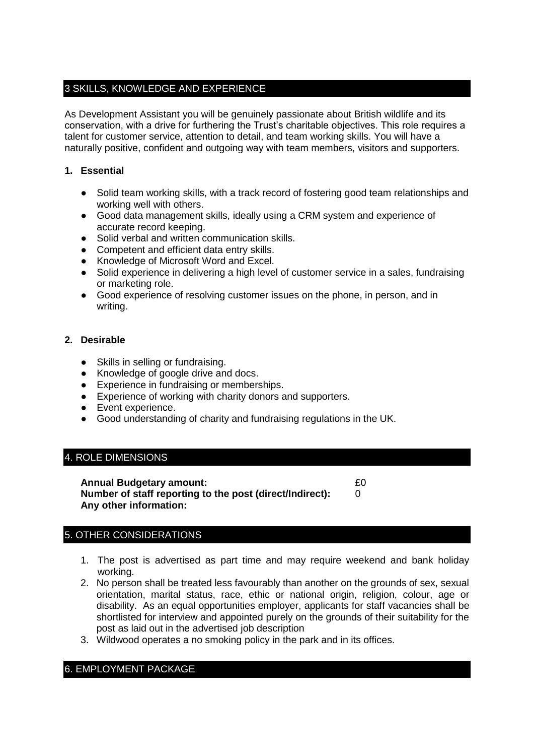## 3 SKILLS, KNOWLEDGE AND EXPERIENCE

As Development Assistant you will be genuinely passionate about British wildlife and its conservation, with a drive for furthering the Trust's charitable objectives. This role requires a talent for customer service, attention to detail, and team working skills. You will have a naturally positive, confident and outgoing way with team members, visitors and supporters.

#### **1. Essential**

- Solid team working skills, with a track record of fostering good team relationships and working well with others.
- Good data management skills, ideally using a CRM system and experience of accurate record keeping.
- Solid verbal and written communication skills.
- Competent and efficient data entry skills.
- Knowledge of Microsoft Word and Excel.
- Solid experience in delivering a high level of customer service in a sales, fundraising or marketing role.
- Good experience of resolving customer issues on the phone, in person, and in writing.

#### **2. Desirable**

- Skills in selling or fundraising.
- Knowledge of google drive and docs.
- Experience in fundraising or memberships.
- Experience of working with charity donors and supporters.
- Event experience.
- Good understanding of charity and fundraising regulations in the UK.

## 4. ROLE DIMENSIONS

| <b>Annual Budgetary amount:</b>                          | £0 |
|----------------------------------------------------------|----|
| Number of staff reporting to the post (direct/Indirect): |    |
| Any other information:                                   |    |

## 5. OTHER CONSIDERATIONS

- 1. The post is advertised as part time and may require weekend and bank holiday working.
- 2. No person shall be treated less favourably than another on the grounds of sex, sexual orientation, marital status, race, ethic or national origin, religion, colour, age or disability. As an equal opportunities employer, applicants for staff vacancies shall be shortlisted for interview and appointed purely on the grounds of their suitability for the post as laid out in the advertised job description
- 3. Wildwood operates a no smoking policy in the park and in its offices.

## 6. EMPLOYMENT PACKAGE